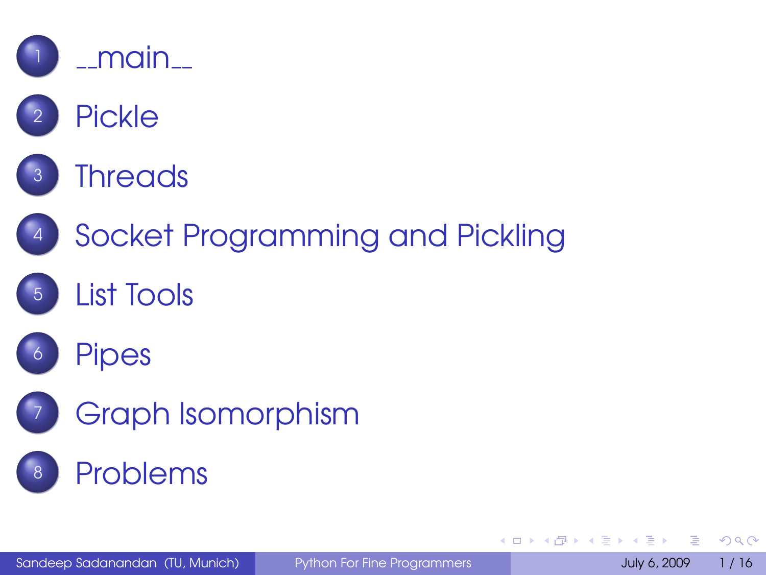







[Socket Programming and Pickling](#page-18-0)









[Graph Isomorphism](#page-26-0)

#### [Problems](#page-30-0)

 $QQQ$ 

<span id="page-0-0"></span>一 4 三

**K ロ ト K 何 ト K ヨ ト**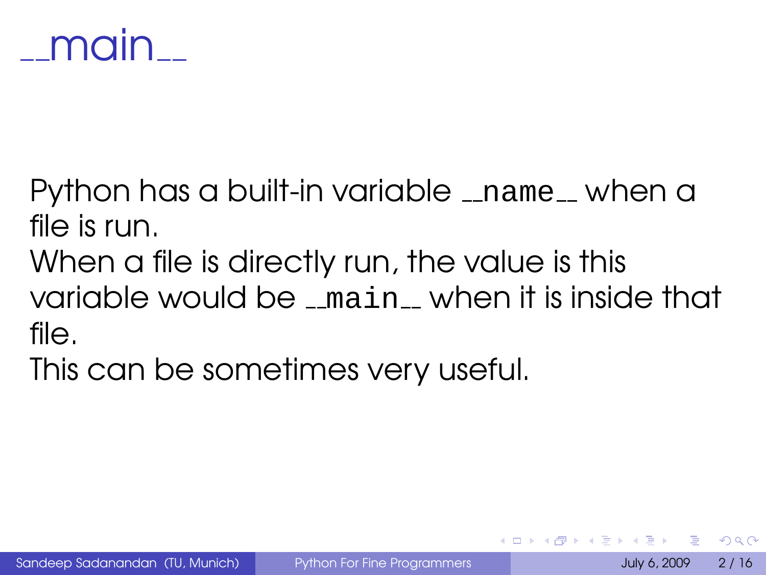

Python has a built-in variable \_name\_ when a file is run.

When a file is directly run, the value is this variable would be  $\_$  main  $\_$  when it is inside that file.

<span id="page-1-0"></span>This can be sometimes very useful.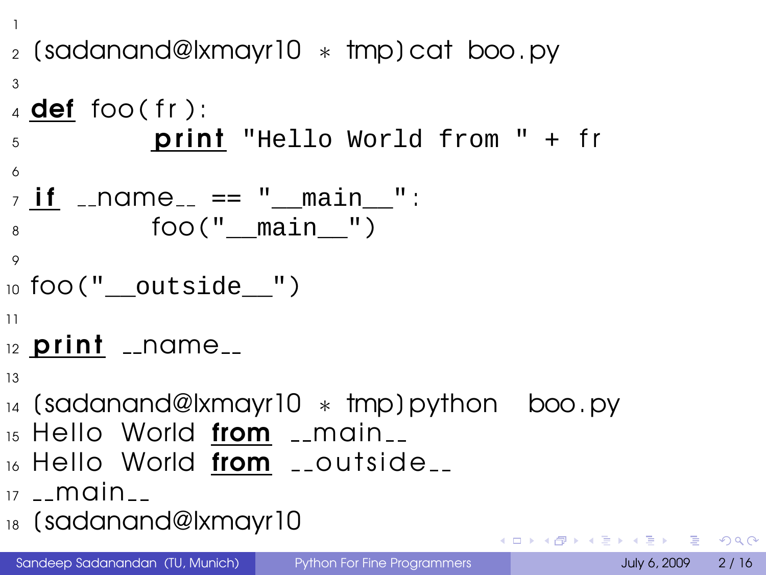```
1
2 [ sadanand@lxmayr10 ∗ tmp ] cat boo. py
3
4 def foo (fr):
5 print "Hello World from " + fr
6
_7 if \_name \_ == \ " main ":
8 foo(" main ")
9
_{10} foo(" _{\text{outside}}")
11
12 print 1 name113
14 [ sadanand@lxmayr10 ∗ tmp ] python boo. py
15 Hello World from __main__
16 Hello World from __outside__
```
- $17 main -$
- $_{18}$  (sada[n](#page-1-0)and@lxmayr10

Sandeep Sadanandan (TU, Munich) [Python For Fine Programmers](#page-0-0) July 6, 2009 2 / 16

**4 ロ ト 4 伺 ト 4 戸 ト**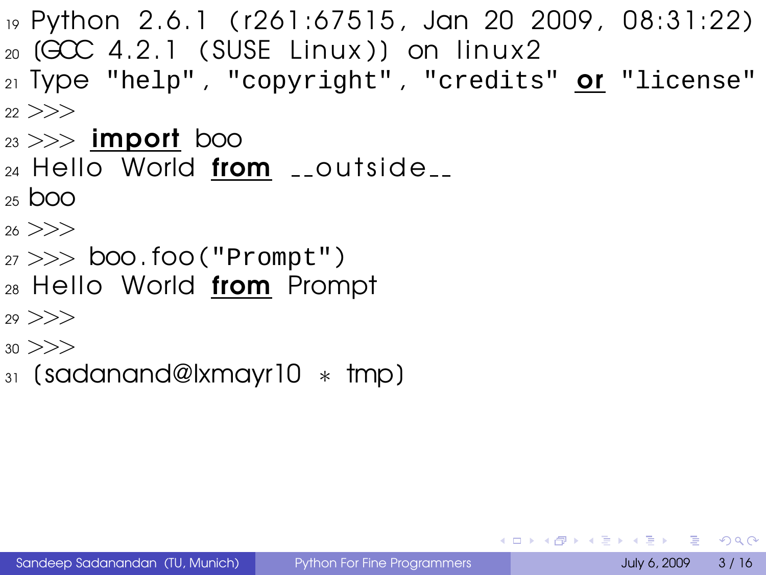- <sup>19</sup> Python 2. 6. 1 ( r261 :67515 , Jan 20 2009 , 08: 31: 22 )  $_{20}$  (GCC 4.2.1 (SUSE Linux)) on linux2
- 21 Type "help", "copyright", "credits" **Of** "license"  $22$   $>>$
- $_{23} >>$  import boo
- $_{24}$  Hello World from  $_{-2}$ outside $_{-2}$
- $25$  boo
- $26$   $>>$
- $27 \gg b$  boo.foo("Prompt")
- $_{28}$  Hello World from Prompt
- $29 \ge \ge \ge$
- $30 \gt>>$
- <sup>31</sup> [ sadanand@lxmayr10 ∗ tmp ]

**KOD & CONTRACT A REPORT**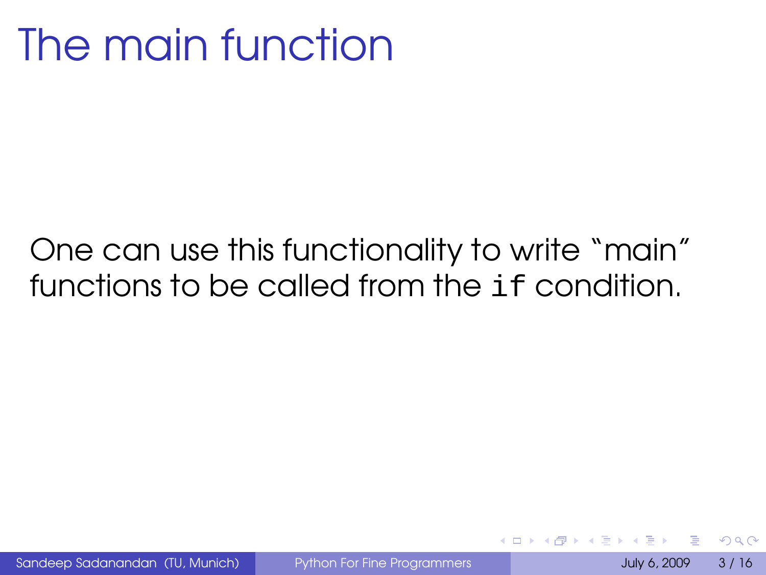## The main function

#### One can use this functionality to write "main" functions to be called from the if condition.

Sandeep Sadanandan (TU, Munich) [Python For Fine Programmers](#page-0-0) July 6, 2009 3 / 16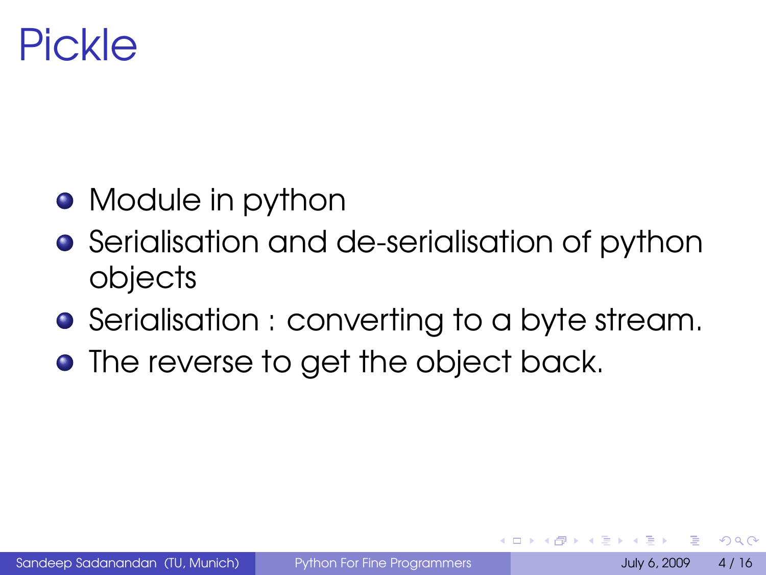#### Pickle

- Module in python
- **•** Serialisation and de-serialisation of python objects
- **•** Serialisation : converting to a byte stream.
- **The reverse to get the object back.**

 $\Omega$ 

<span id="page-5-0"></span> $\leftarrow$   $\Box$   $\rightarrow$   $\leftarrow$   $\leftarrow$   $\Box$   $\rightarrow$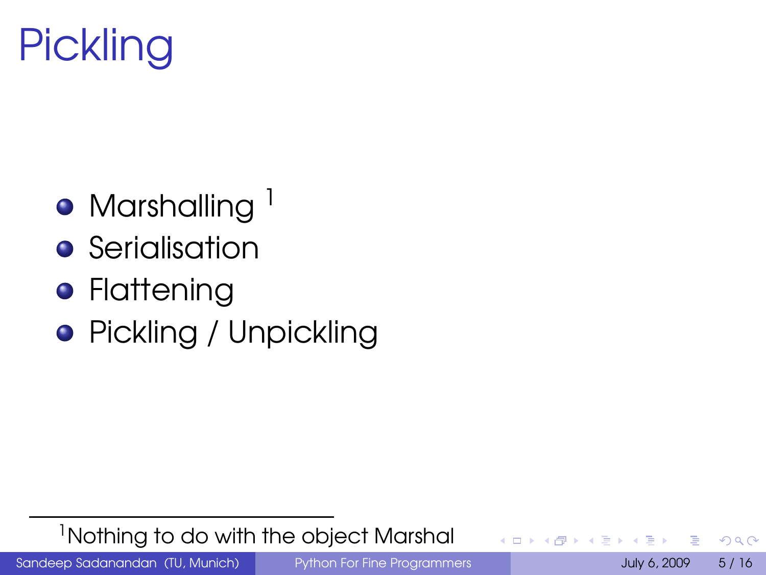

- $\bullet$  Marshalling  $^1$
- **•** Serialisation
- **•** Flattening
- Pickling / Unpickling

 $1$ Nothing to do with the object Marshal

Sandeep Sadanandan (TU, Munich) [Python For Fine Programmers](#page-0-0) July 6, 2009 5/16

 $QQ$ 

 $(7 + 4)$ 

 $\sim$ 画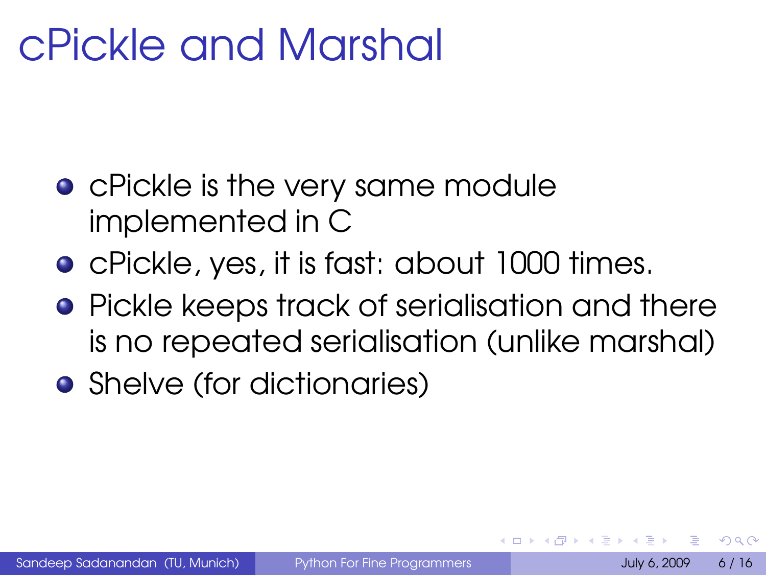# cPickle and Marshal

- **•** cPickle is the very same module implemented in C
- cPickle, yes, it is fast: about 1000 times.
- **•** Pickle keeps track of serialisation and there is no repeated serialisation (unlike marshal)
- Shelve (for dictionaries)

つひへ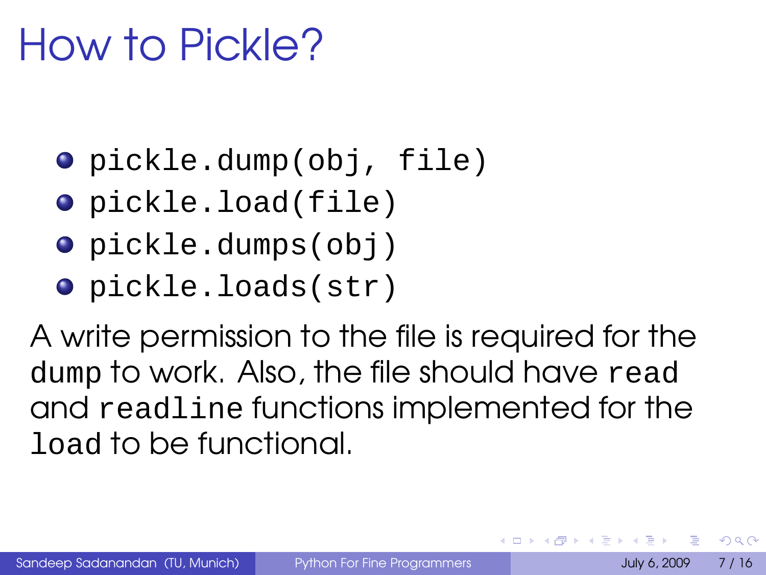# How to Pickle?

- pickle.dump(obj, file)
- pickle.load(file)
- pickle.dumps(obj)
- pickle.loads(str)

A write permission to the file is required for the dump to work. Also, the file should have read and readline functions implemented for the load to be functional.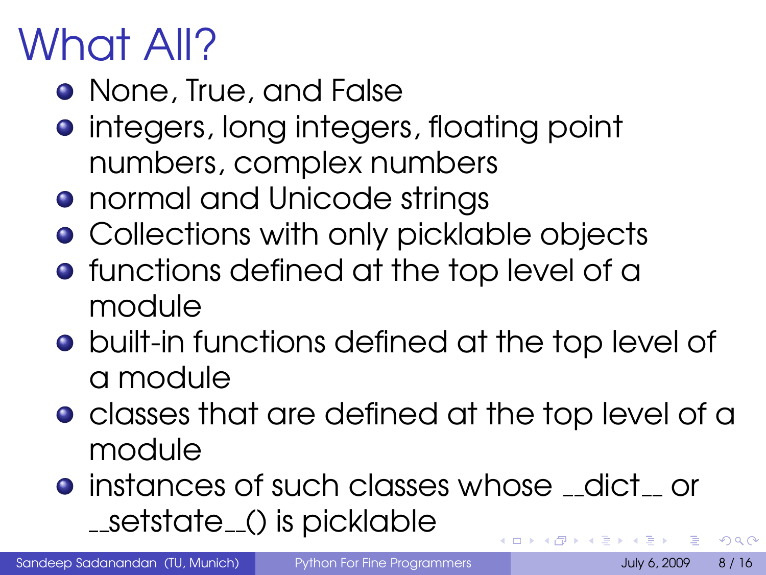# What All?

- None, True, and False
- **•** integers, long integers, floating point numbers, complex numbers
- **•** normal and Unicode strings
- **Collections with only picklable objects**
- **•** functions defined at the top level of a module
- **•** built-in functions defined at the top level of a module
- **•** classes that are defined at the top level of a module
- **instances of such classes whose dict or** \_\_setstate\_() is picklable **K ロ ト K 何 ト K**

Sandeep Sadanandan (TU, Munich) [Python For Fine Programmers](#page-0-0) July 6, 2009 8 / 16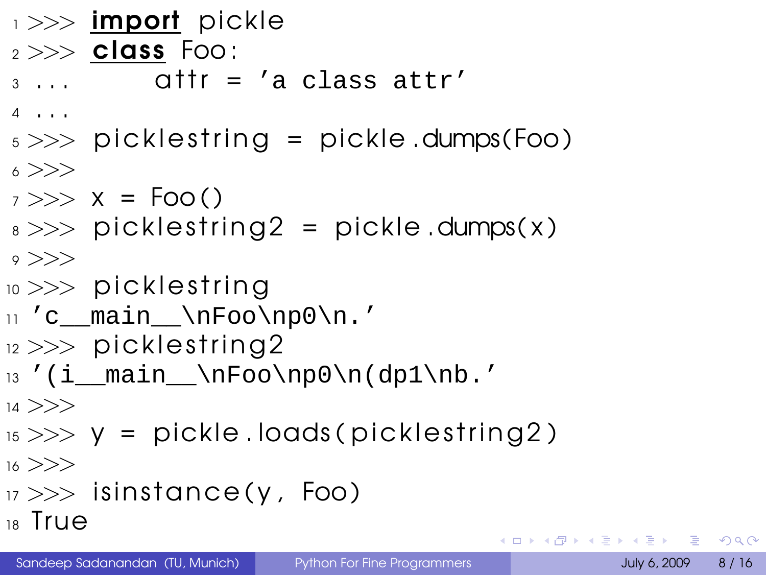```
\rightarrow \rightarrow import pickle
2 >>> class Foo :
3 \ldots attr = 'a class attr'
4 . . .
5 \gg\gg picklestring = pickle.dumps(Foo)
6 >>>
7 >> x = Foo()s \gg\gg picklestring 2 = pickle.dumps(x)
\circ >>10 \gg >> picklestring
11 'c main \nFoo\np0\n.'
_{12} >> picklestring2
13'(i_main_\nFoo\np0\n(dp1\nb.'
14 >>>
15 \gg y = pickle.loads (picklestring 2)
16 >>17 \gg is instance (y, Foo)
18 True
                                        K ロ ▶ K @ ▶ K 할 ▶ K 할 ▶ ( 할 ) 9 Q @
```
Sandeep Sadanandan (TU, Munich) [Python For Fine Programmers](#page-0-0) July 6, 2009 8 / 16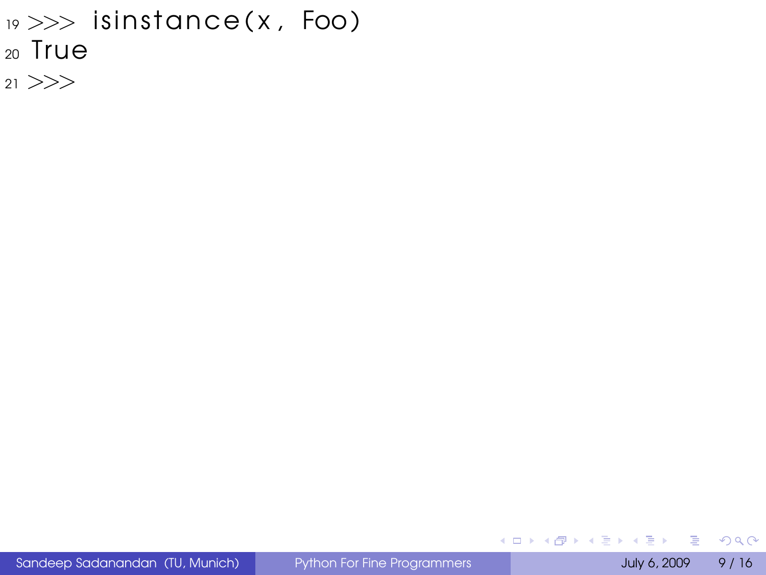```
19 \gg\gg isinstance(x, Foo)
20 True
```
<sup>21</sup> >>>

Sandeep Sadanandan (TU, Munich) [Python For Fine Programmers](#page-0-0) July 6, 2009 9 / 16

<span id="page-11-0"></span> $\rightarrow$ 

 $OQ$ 

メロトメ 御 トメ 差 トメ 差 ト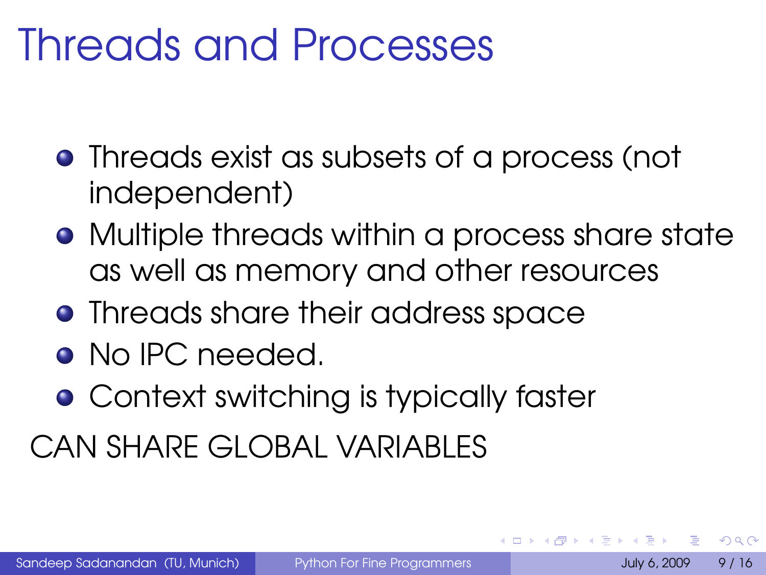#### Threads and Processes

- Threads exist as subsets of a process (not independent)
- Multiple threads within a process share state as well as memory and other resources
- **•** Threads share their address space
- No IPC needed.
- **Context switching is typically faster**

CAN SHARE GLOBAL VARIABLES

 $\Omega$ 

 $\leftarrow$   $\Box$   $\rightarrow$   $\leftarrow$   $\leftarrow$   $\Box$   $\rightarrow$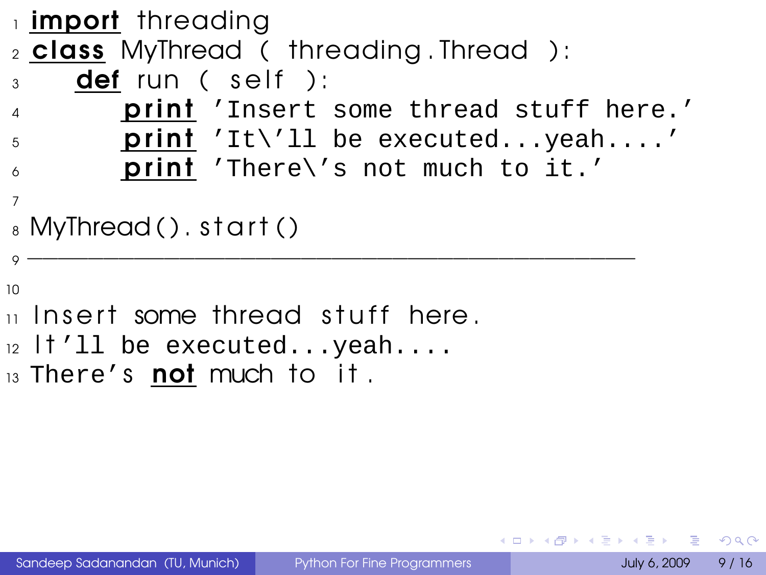```
1 import threading
2 class MyThread ( threading . Thread ) :
3 def run (self):
4 print 'Insert some thread stuff here.'
\mathfrak{spin} 'It\'ll be executed...yeah....'
6 print 'There\'s not much to it.'
7
_8 MyThread ( ). start ( )
9 −−−−−−−−−−−−−−−−−−−−−−−−−−−−−−−−−−−−−−−−
10
_{11} Insert some thread stuff here.
12 I t'll be executed...yeah....
13 There's not much to it.
```
 $\Omega$ 

イロト イ母 トイヨ トイヨト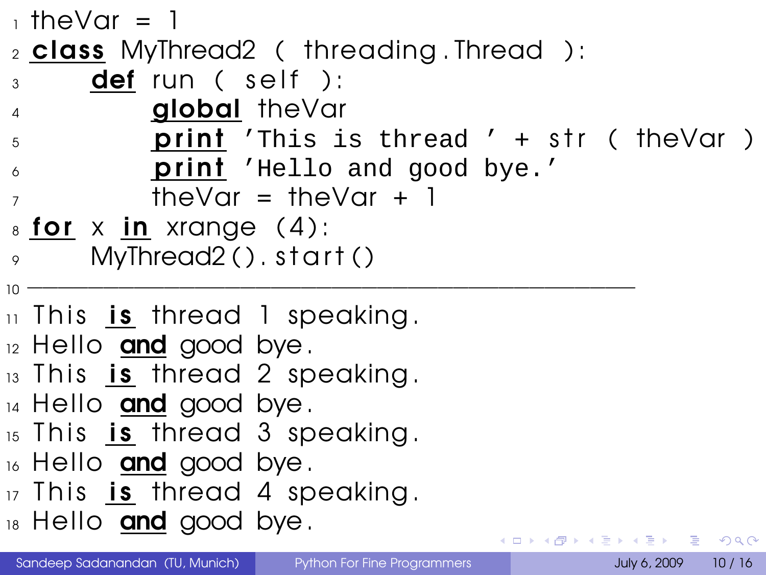```
_1 theVar = 1
2 class MyThread2 ( threading . Thread ) :
_3 def run (self ):
4 global theVar
5 print 'This is thread ' + str ( the Var )
6 print 'Hello and good bye.'
7 \t\t \text{theVar} = \text{theVar} + 1\frac{1}{8} for x in xrange (4):
      MvThread2() . start ()10 −−−−−−−−−−−−−−−−−−−−−−−−−−−−−−−−−−−−−−−−
\overline{11} This is thread 1 speaking.
_{12} Hello and good bye.
13 This is thread 2 speaking.
14 Hello and good bye.
15 This is thread 3 speaking.
16 Hello and good bye.
17 This is thread 4 speaking.
18 Hello and good bye.
                                    KEL KALEY (EN EL AQO)
```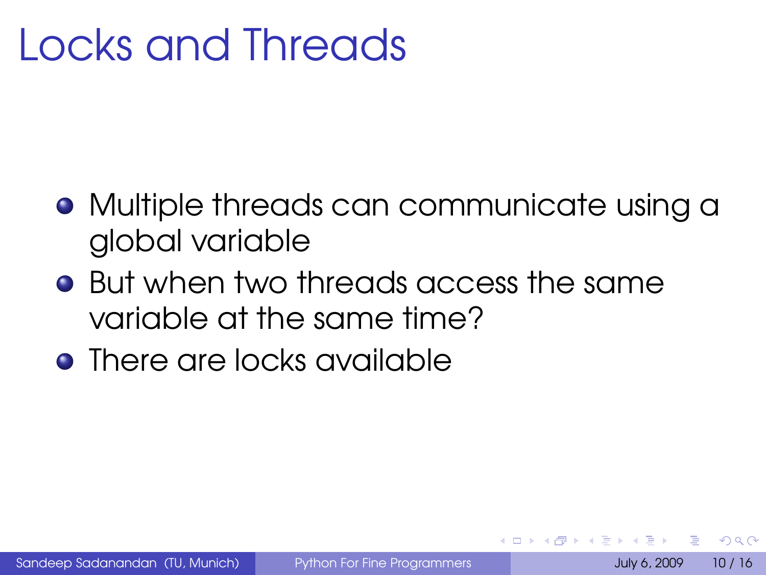# Locks and Threads

- Multiple threads can communicate using a global variable
- **•** But when two threads access the same variable at the same time?
- <span id="page-15-0"></span>**•** There are locks available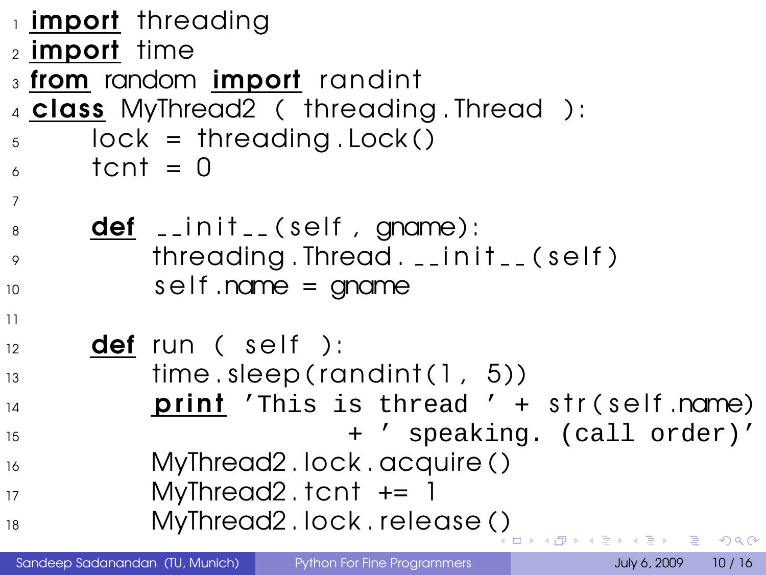```
1 import threading
2 import time
3 from random import randint
4 class MyThread2 ( threading . Thread ) :
5 \qquad \text{lock} = \text{threading} \ldotp \text{Lock}()\epsilon tcnt = 0
7
\frac{1}{8} def \frac{1}{2} in it \frac{1}{2} (self, gname):
9 threading . Thread . __init__(self)
10 self .name = gname
11
12 def run (self):
13 time . sleep ( randin t ( 1 , 5 ) )
14 print 'This is thread ' + str(self.name)
15 + ' speaking. (call order)'
16 MyThread2.lock.acquire()
17 MyThread2 t tcnt += 1
 ( )
                                               \mathcal{A} \xrightarrow{\sim} \mathcal{B} \xrightarrow{\sim} \mathcal{B}\Omega
```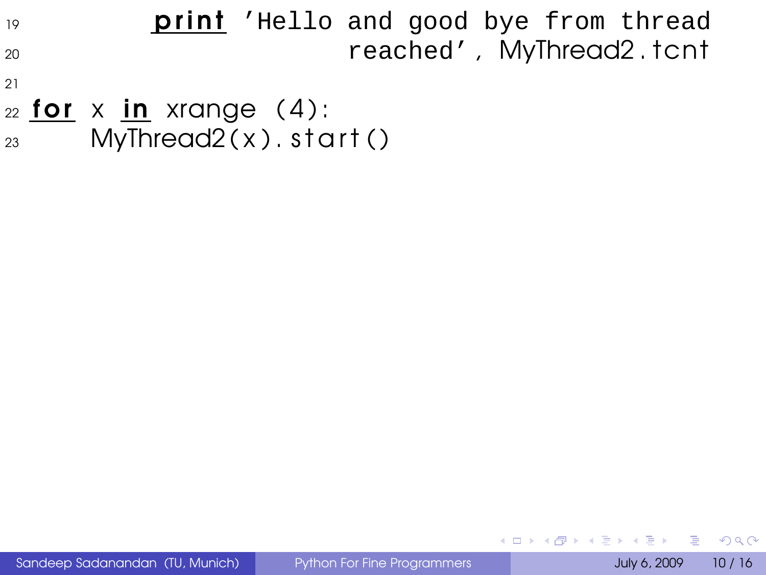19 **print** 'Hello and good bye from thread <sup>20</sup> reached', MyThread2.tcnt

- 21
- $22$  for x in xrange (4):  $23$  MyThread  $2(x)$  start ()

 $QQ$ 

 $A \sqcup A$   $A \sqcap A$   $A \sqsupseteq A$   $A \sqsupseteq A$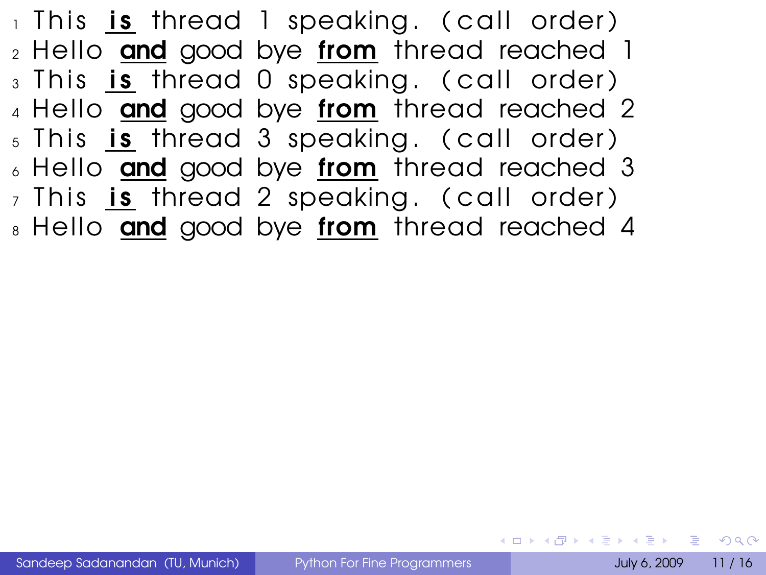$_1$  This is thread 1 speaking. (call order)  $2$  Hello and good bye from thread reached 1 3 This is thread 0 speaking. (call order) 4 Hello and good bye from thread reached 2  $5$  This is thread 3 speaking. (call order)  $6$  Hello and good bye from thread reached 3  $_7$  This is thread 2 speaking. (call order) 8 Hello and good bye from thread reached 4

<span id="page-18-0"></span>**KOD KARD KED KED DE VOOR**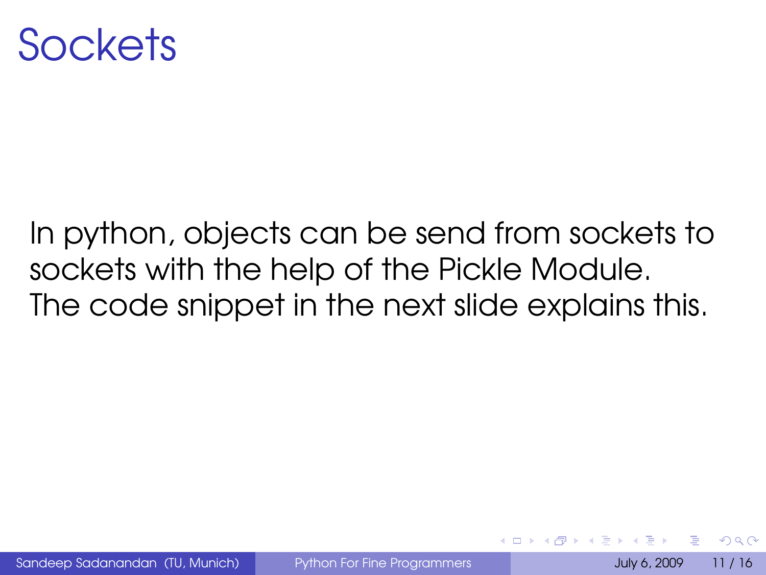

#### In python, objects can be send from sockets to sockets with the help of the Pickle Module. The code snippet in the next slide explains this.

Sandeep Sadanandan (TU, Munich) [Python For Fine Programmers](#page-0-0) July 6, 2009 11 / 16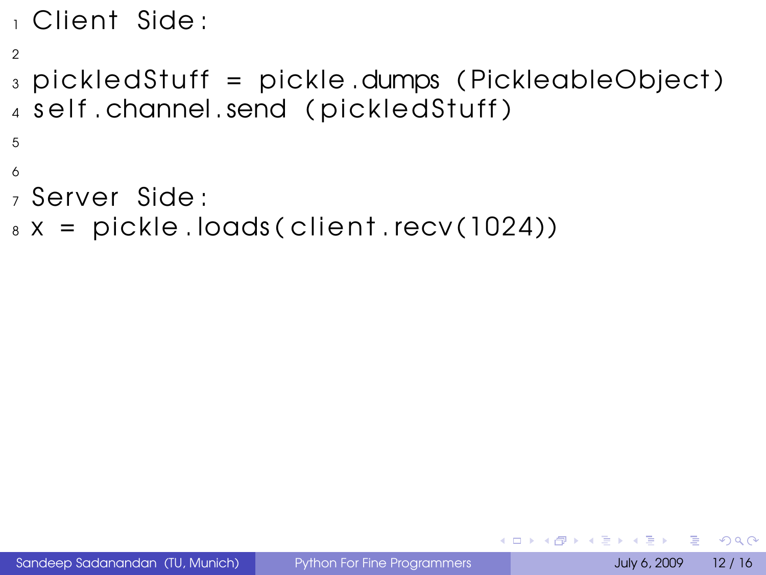```
_1 Client Side:
2
_3 pickledStuff = pickle.dumps (PickleableObject)
4 self.channel.send (pickledStuff)
5
6
<sub>z</sub> Server Side:
8 \times = pickle.loads ( client.recv (1024))
```
 $\Omega$ 

<span id="page-20-0"></span>**≮ロト ⊀ 何 ト ⊀ ヨ ト**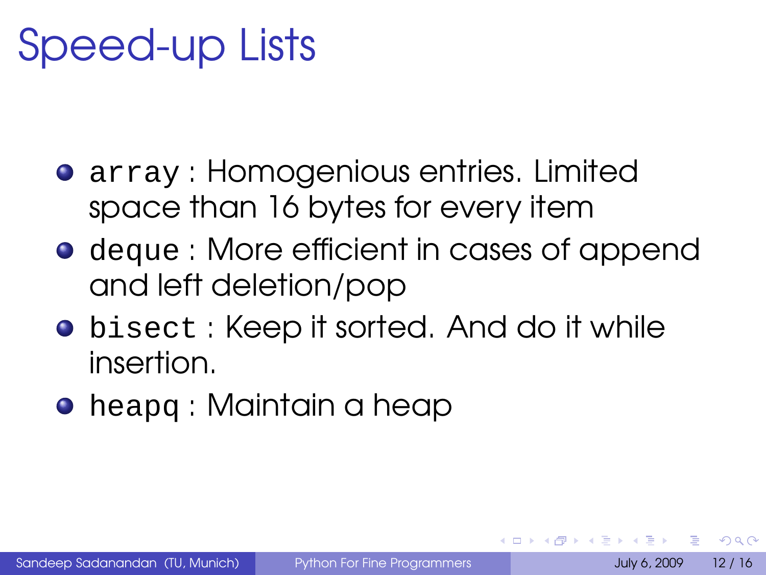## Speed-up Lists

- **•** array : Homogenious entries. Limited space than 16 bytes for every item
- **•** deque : More efficient in cases of append and left deletion/pop
- **•** bisect: Keep it sorted. And do it while insertion.
- **•** heapq : Maintain a heap

 $\Omega$ 

イロメ イ母メ イヨメ イヨメー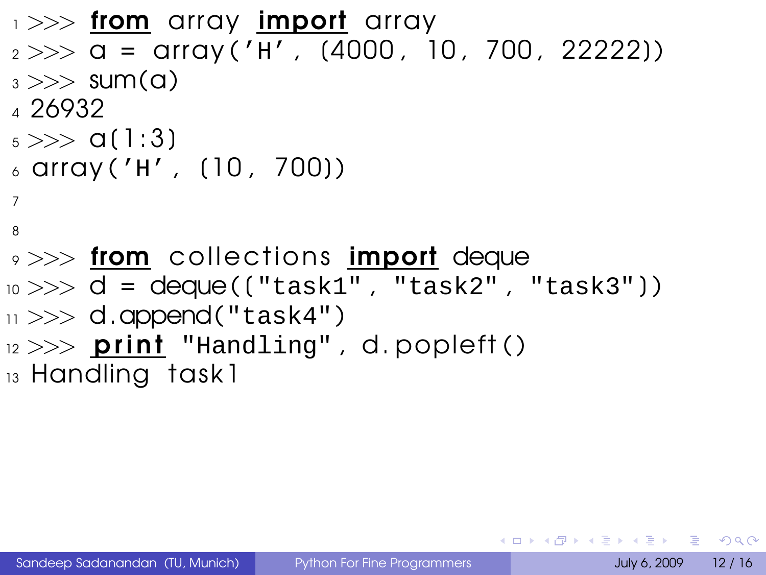```
\rightarrow \rightarrow from array import array
 2 >> \alpha = \arctan((n \cdot \text{H} \cdot \text{H} \cdot \text{H} \cdot \text{H} \cdot \text{H} \cdot \text{H} \cdot \text{H} \cdot \text{H} \cdot \text{H} \cdot \text{H} \cdot \text{H} \cdot \text{H} \cdot \text{H} \cdot \text{H} \cdot \text{H} \cdot \text{H} \cdot \text{H} \cdot \text{H} \cdot \text{H} \cdot \text{H} \cdot \text{H} \cdot \text{H} \cdot \text{H} \cdot \text{H} \cdot \text{H} \cdot \text{H} \cdot \text{H} \cdot \text{H} \cdot \text{H} \cdot \text{H_3 >> sum(a)4 26932
 _5 \gg a(1:3)
 6 \text{ array} ('H', (10, 700))7
 8
\rightarrow >> from collections import deque
10 \gg d = deque(("task1", "task2", "task3"))
\vert 11 >>> d.append("task4")
_{12} >> print "Handling", d.popleft()
13 Handling task1
```
KEL KALLA BIKA BIKA GA A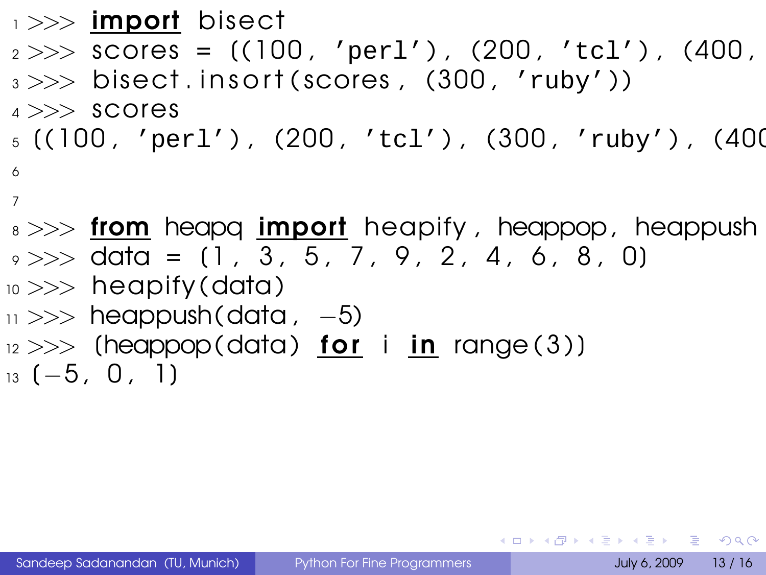```
\rightarrow \rightarrow import bisect
2 >> scores = ((100, 'per1'), (200, 'ter1'))3 \gg bisect insort (scores, (300, 'ruby'))
4 >> scores
_5 ((100, 'perl'), (200, 'tcl'), (300, 'ruby'), (400
6
7
s \gg\gg from heapq import heapify, heappop, heappush
9 \gg \gg data = (1, 3, 5, 7, 9, 2, 4, 6, 8, 0)
_{10} >> heapify (data)
```
- $11 \gg\gg$  heappush(data, -5)
- $12$   $>>$  (heappop(data) for i in range (3))
- $13 (-5, 0, 1)$

<span id="page-23-0"></span>KEL KALEY (EN EL AQO)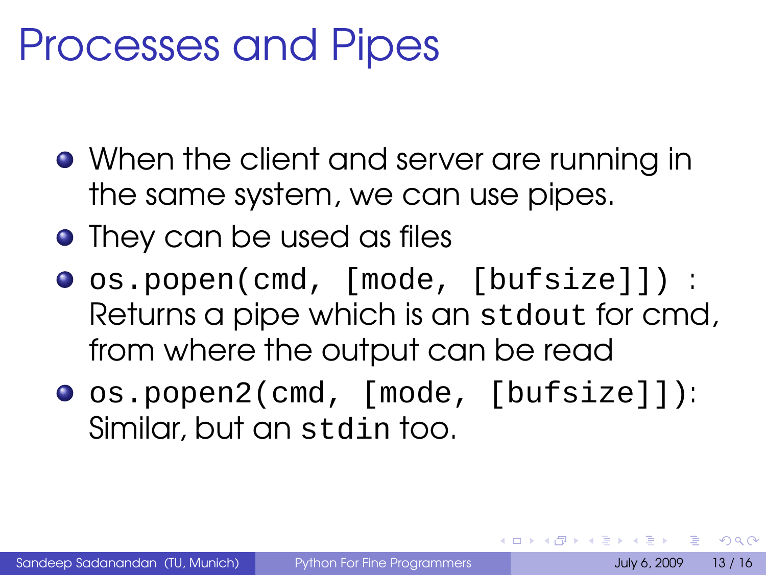#### Processes and Pipes

- When the client and server are running in the same system, we can use pipes.
- They can be used as files
- os.popen(cmd, [mode, [bufsize]]) : Returns a pipe which is an stdout for cmd, from where the output can be read
- os.popen2(cmd, [mode, [bufsize]]): Similar, but an stdin too.

 $\Omega$ 

 $\mathcal{A} \subseteq \mathcal{B} \times \mathcal{B} \times \mathcal{B}$ 

4 F + 4 F + 4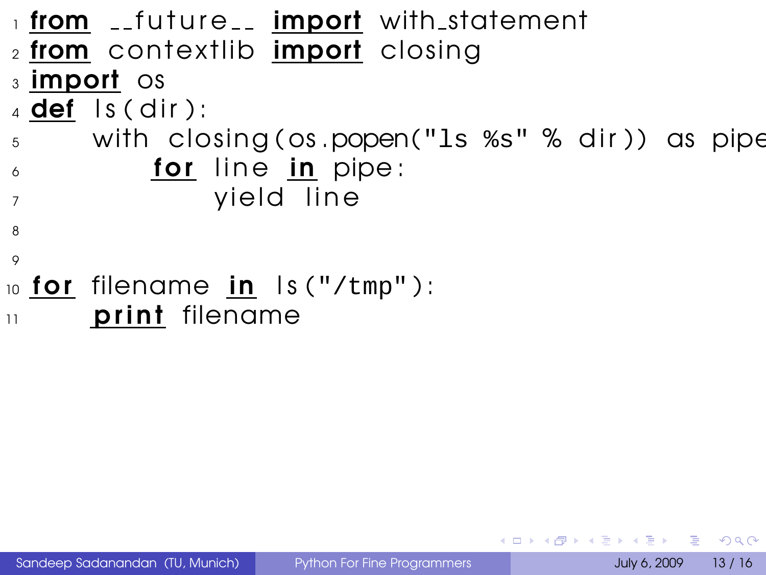```
1 from __future__ import with statement
_2 from contextlib import closing
3 import os
_4 def ls (dir):
5 with closing (os .popen("ls ss" % dir)) as pipe
\delta for line in pipe:
<sup>7</sup> yield line
8
\circ10 for filename in ls ("/tmp"):
\mathbf{u} print filename
```
Sandeep Sadanandan (TU, Munich) [Python For Fine Programmers](#page-0-0) July 6, 2009 13 / 16

 $QQ$ 

**K ロ ト K 何 ト K ヨ ト**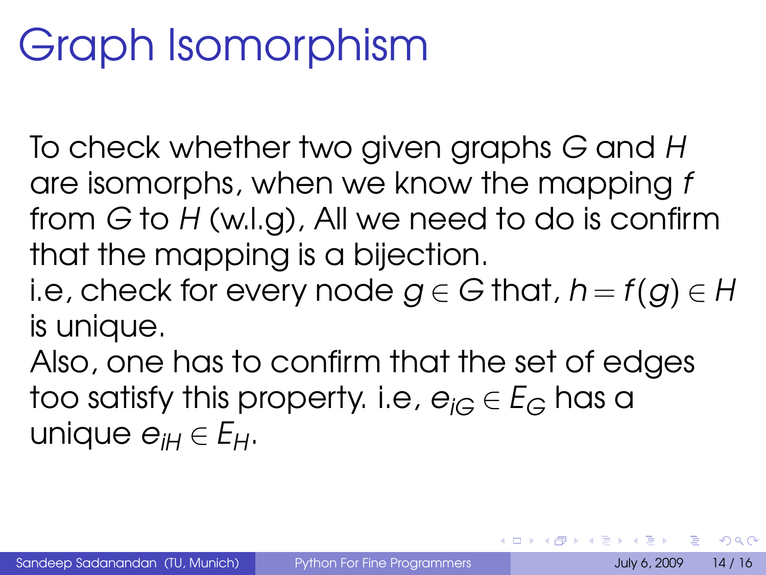# Graph Isomorphism

To check whether two given graphs G and H are isomorphs, when we know the mapping f from  $G$  to  $H$  (w.l.g), All we need to do is confirm that the mapping is a bijection.

i.e, check for every node  $g \in G$  that,  $h = f(g) \in H$ is unique.

Also, one has to confirm that the set of edges too satisfy this property. i.e,  $e_{i\Omega} \in E_G$  has a unique  $e_{iH} \in E_H$ .

 $\Omega$ 

<span id="page-26-0"></span>∢ ロ ▶ ( 何 ) ( ミ ) ( ミ ) ( ニ )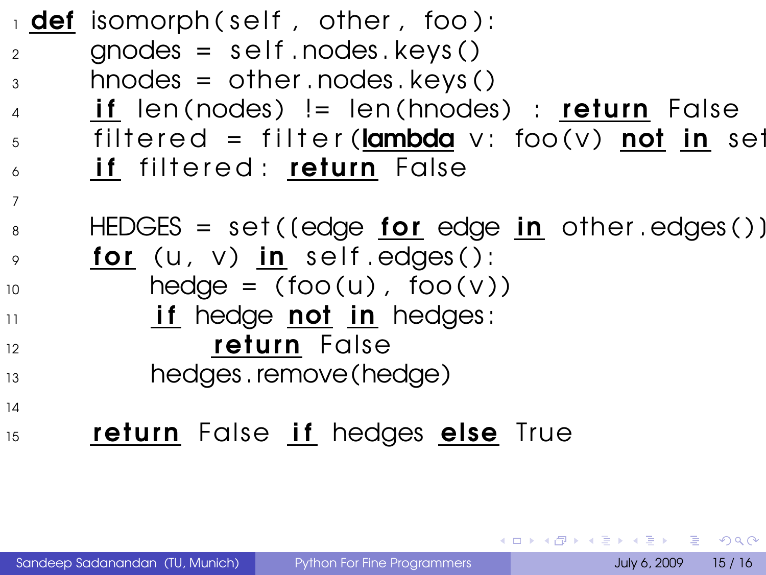|                 | $\frac{1}{1}$ def isomorph(self, other, foo):               |
|-----------------|-------------------------------------------------------------|
| 2               | $\theta$ gnodes = self. nodes. keys()                       |
| 3               | $h$ nodes = other.nodes.keys()                              |
| $\overline{4}$  | $if$ len(nodes) != len(hnodes) : $return$ False             |
| $5\overline{)}$ | filtered = filter( $lambda$ v: foo(v) not in set            |
| 6               | if filtered: return False                                   |
| $\overline{7}$  |                                                             |
| 8               | HEDGES = set((edge <u>for</u> edge <u>in</u> other.edges()) |
| $\overline{9}$  | for (u, v) in self edges():                                 |
| 10              | $hedge = (foo(u), foo(v))$                                  |
| $\overline{11}$ | if hedge not in hedges:                                     |
| 12              | return False                                                |
| 13              | hedges.remove(hedge)                                        |
| 14              |                                                             |
| 15              | return False if hedges else True                            |

Sandeep Sadanandan (TU, Munich) [Python For Fine Programmers](#page-0-0) July 6, 2009 15 / 16

 $QQQ$ 

メロトメ 御 トメ 君 トメ 君 トー 君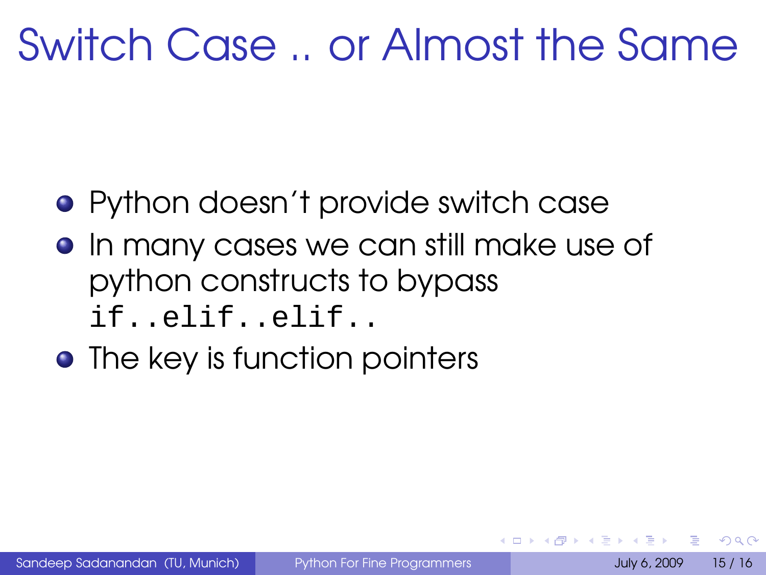# Switch Case .. or Almost the Same

- Python doesn't provide switch case
- **•** In many cases we can still make use of python constructs to bypass if..elif..elif..
- The key is function pointers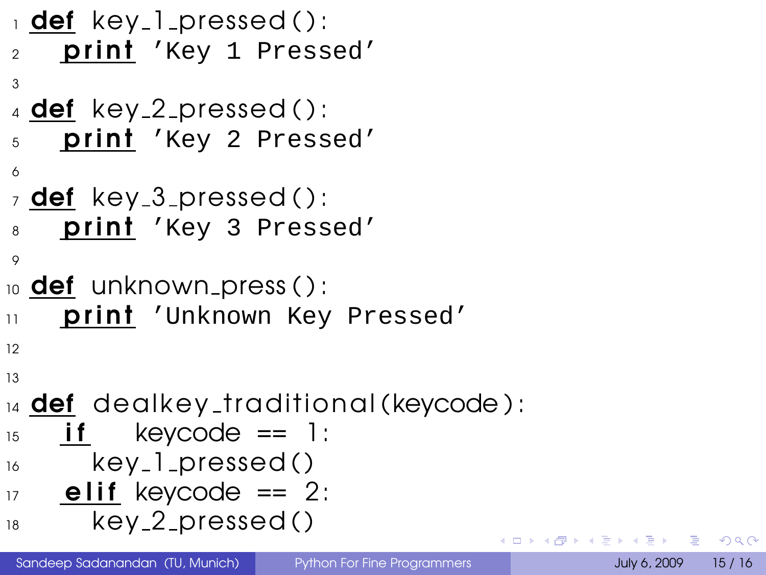```
_1 def key 1 pressed ():
2 print 'Key 1 Pressed'
3
_4 def key 2 pressed ():
5 print 'Key 2 Pressed'
6
_7 def key 3 pressed ():
8 print 'Key 3 Pressed'
\circ10 def unknown press ( ):
11 print 'Unknown Key Pressed'
12
13
\frac{1}{14} def dealkey_traditional (keycode):
15 if keycode == 1:
16 key_1_pressed()
17 elif keycode == 2:
18 key 2 pressed ()
```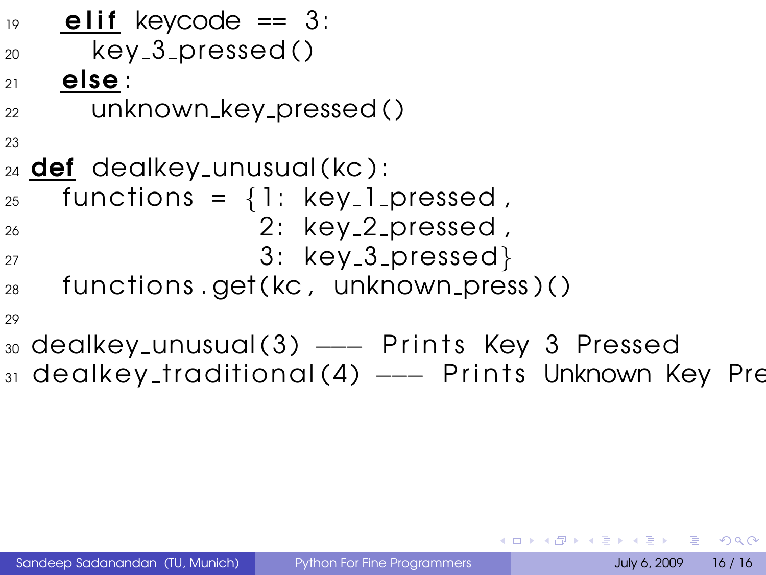| 19 | elif keycode $== 3$ :                                |
|----|------------------------------------------------------|
| 20 | $key_3_pressed()$                                    |
| 21 | else :                                               |
| 22 | unknown_key_pressed()                                |
| 23 |                                                      |
|    | $_{24}$ def dealkey_unusual(kc):                     |
| 25 | functions = $\{1: \text{key\_l}$ pressed,            |
| 26 | 2: key_2_pressed,                                    |
| 27 | 3: key_3_pressed}                                    |
| 28 | functions.get(kc, unknown_press)()                   |
| 29 |                                                      |
|    | 30 dealkey_unusual(3) --- Prints Key 3 Pressed       |
|    | 31 dealkey_traditional(4) --- Prints Unknown Key Pre |
|    |                                                      |

<span id="page-30-0"></span>K ロ > K 御 > K 聖 > K 聖 > 「聖 → の Q Q →